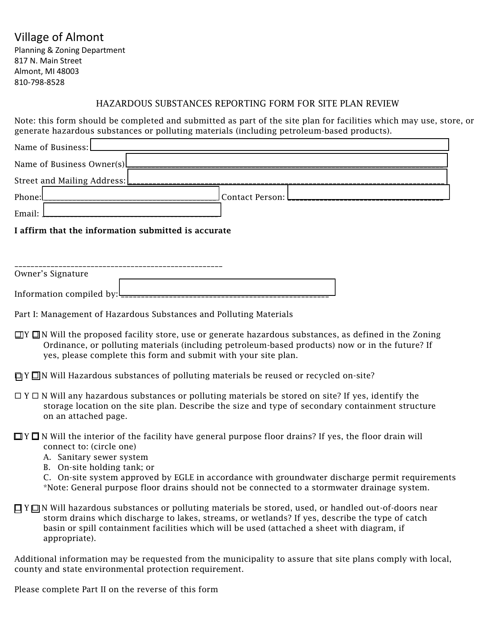## Village of Almont

Planning & Zoning Department 817 N. Main Street Almont, MI 48003 810-798-8528

### HAZARDOUS SUBSTANCES REPORTING FORM FOR SITE PLAN REVIEW

Note: this form should be completed and submitted as part of the site plan for facilities which may use, store, or generate hazardous substances or polluting materials (including petroleum-based products).

| Name of Business:         |                               |
|---------------------------|-------------------------------|
| Name of Business Owner(s) |                               |
|                           |                               |
| Phone:                    | _Contact Person: L___________ |
| Email:                    |                               |

#### I affirm that the information submitted is accurate

| Owner's Signature         |  |
|---------------------------|--|
|                           |  |
| Information compiled by:L |  |

- Part I: Management of Hazardous Substances and Polluting Materials
- $\Box$ Y  $\Box$ N Will the proposed facility store, use or generate hazardous substances, as defined in the Zoning Ordinance, or polluting materials (including petroleum-based products) now or in the future? If yes, please complete this form and submit with your site plan.
- $\Box$  Y  $\Box$  N Will Hazardous substances of polluting materials be reused or recycled on-site?
- $\Box$  Y  $\Box$  N Will any hazardous substances or polluting materials be stored on site? If yes, identify the storage location on the site plan. Describe the size and type of secondary containment structure on an attached page.

#### $\Box Y \Box N$  Will the interior of the facility have general purpose floor drains? If yes, the floor drain will connect to: (circle one)

- A. Sanitary sewer system
- B. On-site holding tank; or

C. On-site system approved by EGLE in accordance with groundwater discharge permit requirements \*Note: General purpose floor drains should not be connected to a stormwater drainage system.

 $\Box$  Y  $\Box$  N Will hazardous substances or polluting materials be stored, used, or handled out-of-doors near storm drains which discharge to lakes, streams, or wetlands? If yes, describe the type of catch basin or spill containment facilities which will be used (attached a sheet with diagram, if appropriate).

Additional information may be requested from the municipality to assure that site plans comply with local, county and state environmental protection requirement.

Please complete Part II on the reverse of this form